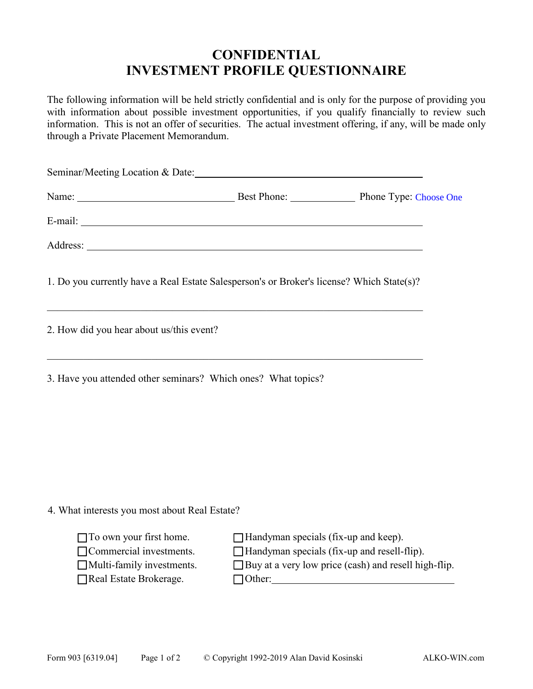## **CONFIDENTIAL INVESTMENT PROFILE QUESTIONNAIRE**

The following information will be held strictly confidential and is only for the purpose of providing you with information about possible investment opportunities, if you qualify financially to review such information. This is not an offer of securities. The actual investment offering, if any, will be made only through a Private Placement Memorandum.

| Seminar/Meeting Location & Date: 1998 and 2008 and 2008 and 2008 and 2008 and 2008 and 2008 and 2008 and 2008 and 2008 and 2008 and 2008 and 2008 and 2008 and 2008 and 2008 and 2008 and 2008 and 2008 and 2008 and 2008 and |                                                                                            |                                                        |
|-------------------------------------------------------------------------------------------------------------------------------------------------------------------------------------------------------------------------------|--------------------------------------------------------------------------------------------|--------------------------------------------------------|
|                                                                                                                                                                                                                               |                                                                                            |                                                        |
|                                                                                                                                                                                                                               |                                                                                            |                                                        |
|                                                                                                                                                                                                                               |                                                                                            |                                                        |
| 1. Do you currently have a Real Estate Salesperson's or Broker's license? Which State(s)?                                                                                                                                     |                                                                                            |                                                        |
| 2. How did you hear about us/this event?                                                                                                                                                                                      |                                                                                            |                                                        |
| 3. Have you attended other seminars? Which ones? What topics?                                                                                                                                                                 |                                                                                            |                                                        |
|                                                                                                                                                                                                                               |                                                                                            |                                                        |
|                                                                                                                                                                                                                               |                                                                                            |                                                        |
| 4. What interests you most about Real Estate?                                                                                                                                                                                 |                                                                                            |                                                        |
| $\Box$ To own your first home.<br>$\Box$ Commercial investments.<br>$\Box$ Multi-family investments.<br>Real Estate Brokerage.                                                                                                | $\Box$ Handyman specials (fix-up and keep).<br>Handyman specials (fix-up and resell-flip). | □ Buy at a very low price (cash) and resell high-flip. |